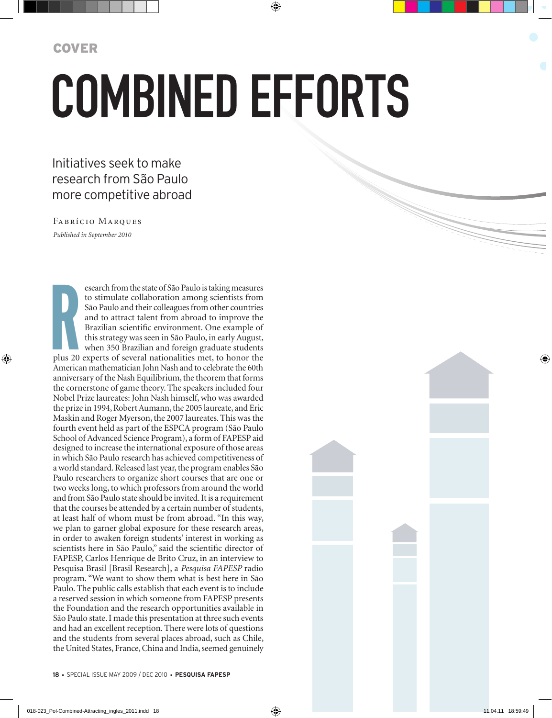## Combined efforts

## Initiatives seek to make research from São Paulo more competitive abroad

*Published in September 2010* Fabrício Marques

**R**<br>plus 20 esearch from the state of São Paulo is taking measures to stimulate collaboration among scientists from São Paulo and their colleagues from other countries and to attract talent from abroad to improve the Brazilian scientific environment. One example of this strategy was seen in São Paulo, in early August, when 350 Brazilian and foreign graduate students plus 20 experts of several nationalities met, to honor the American mathematician John Nash and to celebrate the 60th anniversary of the Nash Equilibrium, the theorem that forms the cornerstone of game theory. The speakers included four Nobel Prize laureates: John Nash himself, who was awarded the prize in 1994, Robert Aumann, the 2005 laureate, and Eric Maskin and Roger Myerson, the 2007 laureates. This was the fourth event held as part of the ESPCA program (São Paulo School of Advanced Science Program), a form of FAPESP aid designed to increase the international exposure of those areas in which São Paulo research has achieved competitiveness of a world standard. Released last year, the program enables São Paulo researchers to organize short courses that are one or two weeks long, to which professors from around the world and from São Paulo state should be invited. It is a requirement that the courses be attended by a certain number of students, at least half of whom must be from abroad. "In this way, we plan to garner global exposure for these research areas, in order to awaken foreign students' interest in working as scientists here in São Paulo," said the scientific director of FAPESP, Carlos Henrique de Brito Cruz, in an interview to Pesquisa Brasil [Brasil Research], a *Pesquisa FAPESP* radio program. "We want to show them what is best here in São Paulo. The public calls establish that each event is to include a reserved session in which someone from FAPESP presents the Foundation and the research opportunities available in São Paulo state. I made this presentation at three such events and had an excellent reception. There were lots of questions and the students from several places abroad, such as Chile, the United States, France, China and India, seemed genuinely